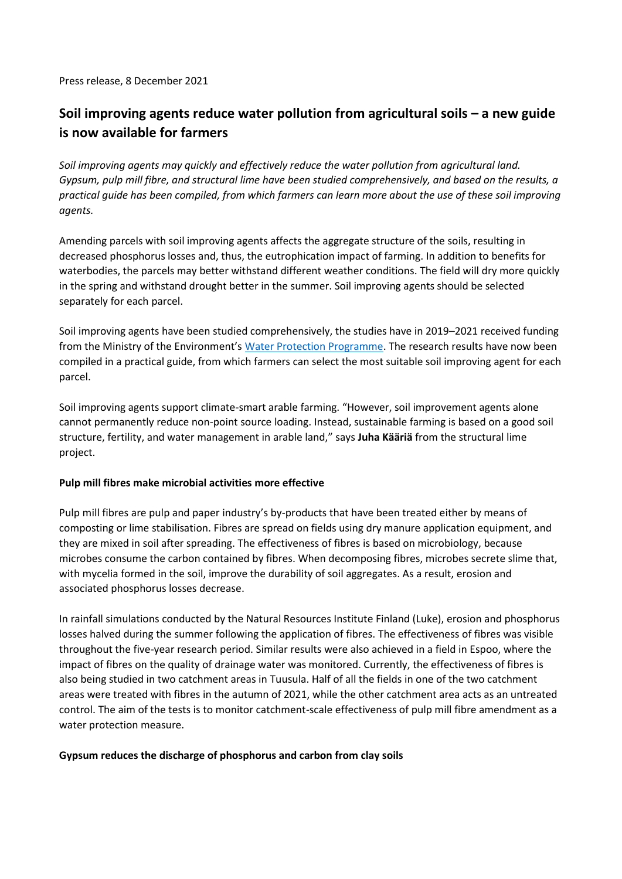Press release, 8 December 2021

## **Soil improving agents reduce water pollution from agricultural soils – a new guide is now available for farmers**

*Soil improving agents may quickly and effectively reduce the water pollution from agricultural land. Gypsum, pulp mill fibre, and structural lime have been studied comprehensively, and based on the results, a practical guide has been compiled, from which farmers can learn more about the use of these soil improving agents.*

Amending parcels with soil improving agents affects the aggregate structure of the soils, resulting in decreased phosphorus losses and, thus, the eutrophication impact of farming. In addition to benefits for waterbodies, the parcels may better withstand different weather conditions. The field will dry more quickly in the spring and withstand drought better in the summer. Soil improving agents should be selected separately for each parcel.

Soil improving agents have been studied comprehensively, the studies have in 2019–2021 received funding from the Ministry of the Environment's [Water Protection Programme.](https://ym.fi/vedenvuoro) The research results have now been compiled in a practical guide, from which farmers can select the most suitable soil improving agent for each parcel.

Soil improving agents support climate-smart arable farming. "However, soil improvement agents alone cannot permanently reduce non-point source loading. Instead, sustainable farming is based on a good soil structure, fertility, and water management in arable land," says **Juha Kääriä** from the structural lime project.

## **Pulp mill fibres make microbial activities more effective**

Pulp mill fibres are pulp and paper industry's by-products that have been treated either by means of composting or lime stabilisation. Fibres are spread on fields using dry manure application equipment, and they are mixed in soil after spreading. The effectiveness of fibres is based on microbiology, because microbes consume the carbon contained by fibres. When decomposing fibres, microbes secrete slime that, with mycelia formed in the soil, improve the durability of soil aggregates. As a result, erosion and associated phosphorus losses decrease.

In rainfall simulations conducted by the Natural Resources Institute Finland (Luke), erosion and phosphorus losses halved during the summer following the application of fibres. The effectiveness of fibres was visible throughout the five-year research period. Similar results were also achieved in a field in Espoo, where the impact of fibres on the quality of drainage water was monitored. Currently, the effectiveness of fibres is also being studied in two catchment areas in Tuusula. Half of all the fields in one of the two catchment areas were treated with fibres in the autumn of 2021, while the other catchment area acts as an untreated control. The aim of the tests is to monitor catchment-scale effectiveness of pulp mill fibre amendment as a water protection measure.

## **Gypsum reduces the discharge of phosphorus and carbon from clay soils**